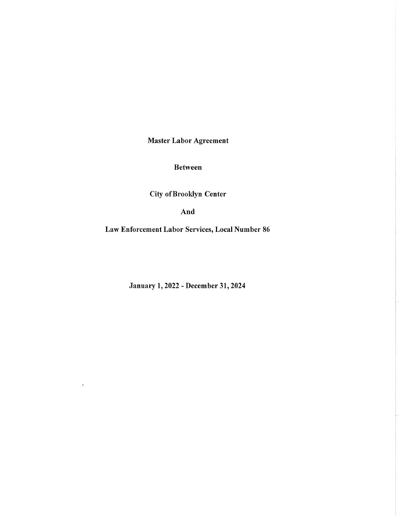Master Labor Agreement

Between

City ofBrooklyn Center

And

Law Enforcement Labor Services, Local Number 86

January 1, 2022 - December 31, 2024

 $\alpha$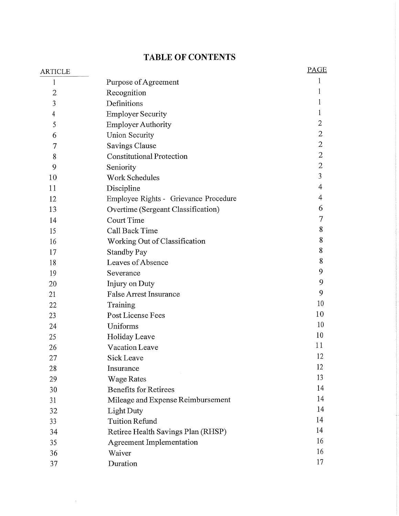# **TABLE OF CONTENTS**

| ARTICLE      |                                       | <b>PAGE</b>    |
|--------------|---------------------------------------|----------------|
| 1            | Purpose of Agreement                  | 1              |
| $\mathbf{2}$ | Recognition                           | 1              |
| 3            | Definitions                           |                |
| 4            | <b>Employer Security</b>              | 1              |
| 5            | <b>Employer Authority</b>             | 2              |
| 6            | Union Security                        | $\overline{2}$ |
| 7            | Savings Clause                        | $\overline{c}$ |
| 8            | <b>Constitutional Protection</b>      | $\overline{2}$ |
| 9            | Seniority                             | $\mathbf 2$    |
| 10           | <b>Work Schedules</b>                 | 3              |
| 11           | Discipline                            | 4              |
| 12           | Employee Rights - Grievance Procedure | 4              |
| 13           | Overtime (Sergeant Classification)    | 6              |
| 14           | Court Time                            | 7              |
| 15           | Call Back Time                        | 8              |
| 16           | Working Out of Classification         | 8              |
| 17           | <b>Standby Pay</b>                    | 8              |
| 18           | Leaves of Absence                     | 8              |
| 19           | Severance                             | 9              |
| 20           | Injury on Duty                        | 9              |
| 21           | <b>False Arrest Insurance</b>         | 9              |
| 22           | Training                              | 10             |
| 23           | Post License Fees                     | 10             |
| 24           | Uniforms                              | 10             |
| 25           | Holiday Leave                         | 10             |
| 26           | Vacation Leave                        | 11             |
| 27           | Sick Leave                            | 12             |
| 28           | Insurance                             | 12             |
| 29           | <b>Wage Rates</b>                     | 13             |
| 30           | <b>Benefits for Retirees</b>          | 14             |
| 31           | Mileage and Expense Reimbursement     | 14             |
| 32           | <b>Light Duty</b>                     | 14             |
| 33           | <b>Tuition Refund</b>                 | 14             |
| 34           | Retiree Health Savings Plan (RHSP)    | 14             |
| 35           | <b>Agreement Implementation</b>       | 16             |
| 36           | Waiver                                | 16             |
| 37           | Duration                              | 17             |

 $\sim$   $\mu$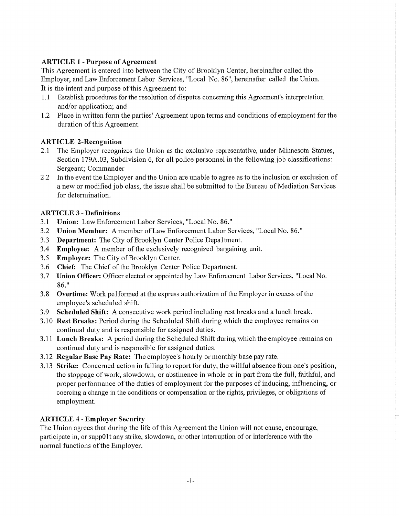# **ARTICLE 1 - Purpose of Agreement**

This Agreement is entered into between the City of Brooklyn Center, hereinafter called the Employer, and Law Enforcement Labor Services, "Local No. 86", hereinafter called the Union. It is the intent and purpose of this Agreement to:

- **1.1** Establish procedures for the resolution of disputes concerning this Agreement's interpretation and/or application; and
- 1.2 Place in written form the parties' Agreement upon terms and conditions of employment for the duration of this Agreement.

### **ARTICLE 2-Recognition**

- 2.1 The Employer recognizes the Union as the exclusive representative, under Minnesota Statues, Section 179A.03, Subdivision 6, for all police personnel in the following job classifications: Sergeant; Commander
- 2.2 In the event the Employer and the Union are unable to agree as to the inclusion or exclusion of a new or modified job class, the issue shall be submitted to the Bureau of Mediation Services for determination.

### **ARTICLE 3-Definitions**

- 3.1 **Union:** Law Enforcement Labor Services, "Local No. 86."
- 3.2 **Union Member:** A member of Law Enforcement Labor Services, "Local No. 86."
- 3.3 **Department:** The City of Brooklyn Center Police Depaltment.
- 3.4 **Employee:** A member of the exclusively recognized bargaining unit.
- 3.5 **Employer:** The City of Brooklyn Center.
- 3.6 **Chief:** The Chief of the Brooklyn Center Police Depatiment.
- 3.7 **Union Officer:** Officer elected or appointed by Law Enforcement Labor Services, "Local No. 86."
- 3.8 **Overtime:** Work pelformed at the express authorization of the Employer in excess of the employee's scheduled shift.
- 3.9 **Scheduled Shift:** A consecutive work period including rest breaks and a lunch break.
- 3.10 **Rest Breaks:** Period during the Scheduled Shift during which the employee remains on continual duty and is responsible for assigned duties.
- 3.11 **Lunch Breaks:** A period during the Scheduled Shift during which the employee remains on continual duty and is responsible for assigned duties.
- 3.12 **Regular Base Pay Rate:** The employee's hourly or monthly base pay rate.
- 3.13 **Strike:** Concerned action in failing to repoti for duty, the willful absence from one's position, the stoppage of work, slowdown, or abstinence in whole or in part from the full, faithful, and proper performance of the duties of employment for the purposes of inducing, influencing, or coercing a change in the conditions or compensation or the rights, privileges, or obligations of employment.

# **ARTICLE 4 - Employer Security**

The Union agrees that during the life of this Agreement the Union will not cause, encourage, participate in, or supp01t any strike, slowdown, or other interruption of or interference with the normal functions of the Employer.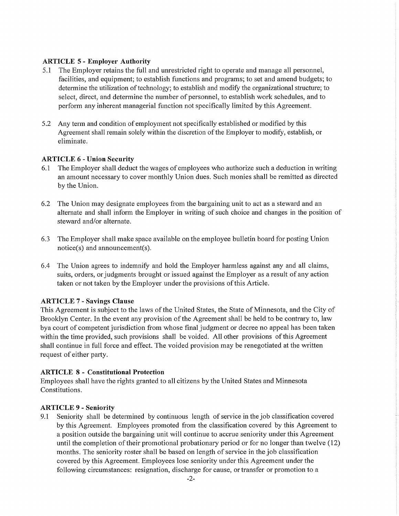# **ARTICLE 5 - Employer Authority**

- 5.1 The Employer retains the full and unrestricted right to operate and manage all personnel, facilities, and equipment; to establish functions and programs; to set and amend budgets; to determine the utilization of technology; to establish and modify the organizational structure; to select, direct, and determine the number of personnel, to establish work schedules, and to perform any inherent managerial function not specifically limited by this Agreement.
- 5.2 Any term and condition of employment not specifically established or modified by this Agreement shall remain solely within the discretion of the Employer to modify, establish, or eliminate.

#### **ARTICLE 6 - Union Security**

- 6.1 The Employer shall deduct the wages of employees who authorize such a deduction in writing an amount necessary to cover monthly Union dues. Such monies shall be remitted as directed by the Union.
- 6.2 The Union may designate employees from the bargaining unit to act as a steward and an alternate and shall inform the Employer in writing of such choice and changes in the position of steward and/or alternate.
- 6.3 The Employer shall make space available on the employee bulletin board for posting Union notice(s) and announcement(s).
- 6.4 The Union agrees to indemnify and hold the Employer harmless against any and all claims, suits, orders, or judgments brought or issued against the Employer as a result of any action taken or not taken by the Employer under the provisions of this Article.

#### **ARTICLE 7** - **Savings Clause**

This Agreement is subject to the laws of the United States, the State of Minnesota, and the City of Brooklyn Center. In the event any provision of the Agreement shall be held to be contrary to, law bya court of competent jurisdiction from whose final judgment or decree no appeal has been taken within the time provided, such provisions shall be voided. All other provisions of this Agreement shall continue in full force and effect. The voided provision may be renegotiated at the written request of either party.

#### **ARTICLE 8 - Constitutional Protection**

Employees shall have the rights granted to all citizens by the United States and Minnesota Constitutions.

#### **ARTICLE 9 - Seniority**

9.1 Seniority shall be determined by continuous length of service in the job classification covered by this Agreement. Employees promoted from the classification covered by this Agreement to a position outside the bargaining unit will continue to accrue seniority under this Agreement until the completion of their promotional probationary period or for no longer than twelve (12) months. The seniority roster shall be based on length of service in the job classification covered by this Agreement. Employees lose seniority under this Agreement under the following circumstances: resignation, discharge for cause, or transfer or promotion to a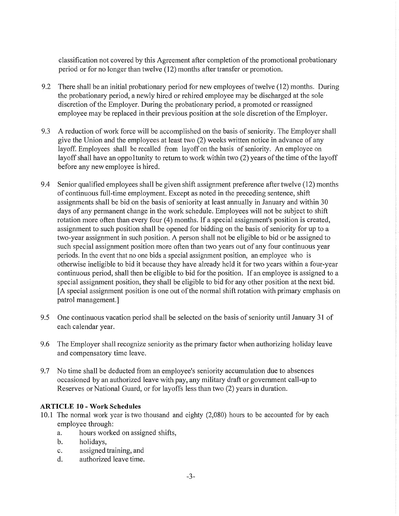classification not covered by this Agreement after completion of the promotional probationary period or for no longer than twelve (12) months after transfer or promotion.

- 9.2 There shall be an initial probationary period for new employees of twelve (12) months. During the probationary period, a newly hired or rehired employee may be discharged at the sole discretion of the Employer. During the probationary period, a promoted or reassigned employee may be replaced in their previous position at the sole discretion of the Employer.
- 9.3 A reduction of work force will be accomplished on the basis of seniority. The Employer shall give the Union and the employees at least two (2) weeks written notice in advance of any layoff. Employees shall be recalled from layoff on the basis of seniority. An employee on layoff shall have an oppoltunity to return to work within two (2) years of the time of the layoff before any new employee is hired.
- 9.4 Senior qualified employees shall be given shift assignment preference after twelve (12) months of continuous full-time employment. Except as noted in the preceding sentence, shift assignments shall be bid on the basis of seniority at least annually in January and within 30 days of any permanent change in the work schedule. Employees will not be subject to shift rotation more often than every four (4) months. If a special assignment's position is created, assignment to such position shall be opened for bidding on the basis of seniority for up to a two-year assignment in such position. A person shall not be eligible to bid or be assigned to such special assignment position more often than two years out of any four continuous year periods. In the event that no one bids a special assignment position, an employee who is otherwise ineligible to bid it because they have already held it for two years within a four-year continuous period, shall then be eligible to bid for the position. If an employee is assigned to a special assignment position, they shall be eligible to bid for any other position at the next bid. [A special assignment position is one out of the normal shift rotation with primary emphasis on patrol management.]
- 9.5 One continuous vacation period shall be selected on the basis of seniority until January 31 of each calendar year.
- 9.6 The Employer shall recognize seniority as the primary factor when authorizing holiday leave and compensatory time leave.
- 9.7 No time shall be deducted from an employee's seniority accumulation due to absences occasioned by an authorized leave with pay, any military draft or government call-up to Reserves or National Guard, or for layoffs less than two (2) years in duration.

# **ARTICLE 10 - Work Schedules**

- 10.1 The normal work year is two thousand and eighty (2,080) hours to be accounted for by each employee through:
	- a. hours worked on assigned shifts,
	- b. holidays,
	- c. assigned training, and
	- d. authorized leave time.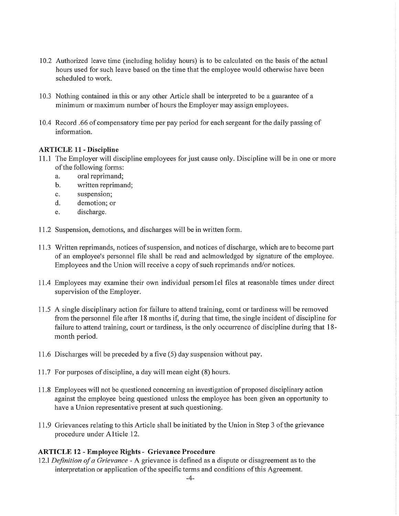- 10.2 Authorized leave time (including holiday hours) is to be calculated on the basis of the actual hours used for such leave based on the time that the employee would otherwise have been scheduled to work.
- 10.3 Nothing contained in this or any other Article shall be interpreted to be a guarantee of a minimum or maximum number of hours the Employer may assign employees.
- 10.4 Record .66 of compensatory time per pay period for each sergeant for the daily passing of information.

#### **ARTICLE 11 - Discipline**

- 11.1 The Employer will discipline employees for just cause only. Discipline will be in one or more of the following forms:
	- a. oral reprimand;
	- b. written reprimand;
	- c. suspension;
	- d. demotion; or
	- e. discharge.
- 11.2 Suspension, demotions, and discharges will be in written form.
- 11.3 Written reprimands, notices of suspension, and notices of discharge, which are to become part of an employee's personnel file shall be read and aclmowledged by signature of the employee. Employees and the Union will receive a copy of such reprimands and/or notices.
- 11.4 Employees may examine their own individual persom lel files at reasonable times under direct supervision of the Employer.
- 11.5 A single disciplinary action for failure to attend training, comt or tardiness will be removed from the personnel file after 18 months if, during that time, the single incident of discipline for failure to attend training, court or tardiness, is the only occurrence of discipline during that 18 month period.
- 11.6 Discharges will be preceded by a five (5) day suspension without pay.
- 11. 7 For purposes of discipline, a day will mean eight (8) hours.
- 11.8 Employees will not be questioned concerning an investigation of proposed disciplinary action against the employee being questioned unless the employee has been given an opportunity to have a Union representative present at such questioning.
- 11.9 Grievances relating to this Article shall be initiated by the Union in Step 3 of the grievance procedure under Alticle 12.

#### **ARTICLE 12 - Employee Rights - Grievance Procedure**

12.1 *Definition of a Grievance* - A grievance is defined as a dispute or disagreement as to the interpretation or application of the specific terms and conditions of this Agreement.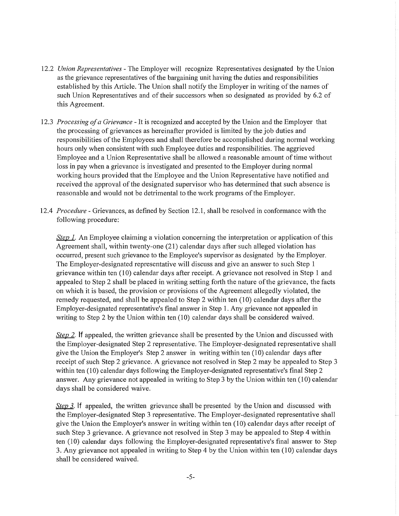- 12.2 *Union Representatives*  The Employer will recognize Representatives designated by the Union as the grievance representatives of the bargaining unit having the duties and responsibilities established by this Article. The Union shall notify the Employer in writing of the names of such Union Representatives and of their successors when so designated as provided by 6.2 of this Agreement.
- 12.3 *Processing of a Grievance*  It is recognized and accepted by the Union and the Employer that the processing of grievances as hereinafter provided is limited by the job duties and responsibilities of the Employees and shall therefore be accomplished during normal working hours only when consistent with such Employee duties and responsibilities. The aggrieved Employee and a Union Representative shall be allowed a reasonable amount of time without loss in pay when a grievance is investigated and presented to the Employer during normal working hours provided that the Employee and the Union Representative have notified and received the approval of the designated supervisor who has determined that such absence is reasonable and would not be detrimental to the work programs of the Employer.
- 12.4 *Procedure*  Grievances, as defined by Section 12.1, shall be resolved in conformance with the following procedure:

*Step 1.* An Employee claiming a violation concerning the interpretation or application of this Agreement shall, within twenty-one (21) calendar days after such alleged violation has occurred, present such grievance to the Employee's supervisor as designated by the Employer. The Employer-designated representative will discuss and give an answer to such Step **1**  grievance within ten (10) calendar days after receipt. A grievance not resolved in Step 1 and appealed to Step 2 shall be placed in writing setting forth the nature of the grievance, the facts on which it is based, the provision or provisions of the Agreement allegedly violated, the remedy requested, and shall be appealed to Step 2 within ten (10) calendar days after the Employer-designated representative's final answer in Step 1. Any grievance not appealed in writing to Step 2 by the Union within ten (10) calendar days shall be considered waived.

*Step 2.* If appealed, the written grievance shall be presented by the Union and discussed with the Employer-designated Step 2 representative. The Employer-designated representative shall give the Union the Employer's Step 2 answer in writing within ten  $(10)$  calendar days after receipt of such Step 2 grievance. A grievance not resolved in Step 2 may be appealed to Step 3 within ten (10) calendar days following the Employer-designated representative's final Step 2 answer. Any grievance not appealed in writing to Step 3 by the Union within ten ( 10) calendar days shall be considered waive.

*Step 3.* If appealed, the written grievance shall be presented by the Union and discussed with the Employer-designated Step 3 representative. The Employer-designated representative shall give the Union the Employer's answer in writing within ten (10) calendar days after receipt of such Step 3 grievance. A grievance not resolved in Step 3 may be appealed to Step 4 within ten (10) calendar days following the Employer-designated representative's final answer to Step 3. Any grievance not appealed in writing to Step 4 by the Union within ten (10) calendar days shall be considered waived.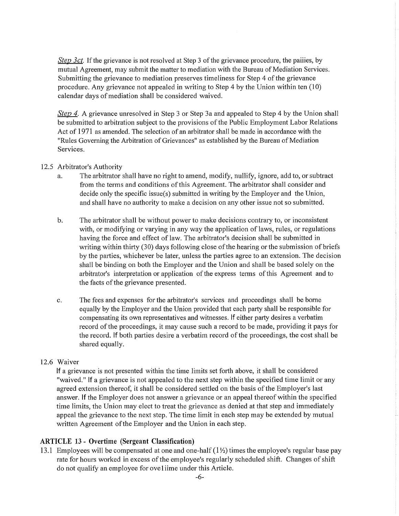*Step 3ct.* If the grievance is not resolved at Step 3 of the grievance procedure, the paiiies, by mutual Agreement, may submit the matter to mediation with the Bureau of Mediation Services. Submitting the grievance to mediation preserves timeliness for Step 4 of the grievance procedure. Any grievance not appealed in writing to Step 4 by the Union within ten (10) calendar days of mediation shall be considered waived.

*Step 4.* A grievance unresolved in Step 3 or Step 3a and appealed to Step 4 by the Union shall be submitted to arbitration subject to the provisions of the Public Employment Labor Relations Act of 1971 as amended. The selection of an arbitrator shall be made in accordance with the "Rules Governing the Arbitration of Grievances" as established by the Bureau of Mediation Services.

#### 12.5 Arbitrator's Authority

- a. The arbitrator shall have no right to amend, modify, nullify, ignore, add to, or subtract from the terms and conditions of this Agreement. The arbitrator shall consider and decide only the specific issue(s) submitted in writing by the Employer and the Union, and shall have no authority to make a decision on any other issue not so submitted.
- b. The arbitrator shall be without power to make decisions contrary to, or inconsistent with, or modifying or varying in any way the application of laws, rules, or regulations having the force and effect of law. The arbitrator's decision shall be submitted in writing within thirty (30) days following close of the hearing or the submission of briefs by the parties, whichever be later, unless the parties agree to an extension. The decision shall be binding on both the Employer and the Union and shall be based solely on the arbitrator's interpretation or application of the express terms of this Agreement and to the facts of the grievance presented.
- c. The fees and expenses for the arbitrator's services and proceedings shall be borne equally by the Employer and the Union provided that each party shall be responsible for compensating its own representatives and witnesses. If either party desires a verbatim record of the proceedings, it may cause such a record to be made, providing it pays for the record. **If** both parties desire a verbatim record of the proceedings, the cost shall be shared equally.

#### 12.6 Waiver

If a grievance is not presented within the time limits set forth above, it shall be considered "waived." **If** a grievance is not appealed to the next step within the specified time limit or any agreed extension thereof, it shall be considered settled on the basis of the Employer's last answer. **If** the Employer does not answer a grievance or an appeal thereof within the specified time limits, the Union may elect to treat the grievance as denied at that step and immediately appeal the grievance to the next step. The time limit in each step may be extended by mutual written Agreement of the Employer and the Union in each step.

#### **ARTICLE 13 - Overtime (Sergeant Classification)**

13.1 Employees will be compensated at one and one-half  $(1\frac{1}{2})$  times the employee's regular base pay rate for hours worked in excess of the employee's regularly scheduled shift. Changes of shift do not qualify an employee for ove **1** iime under this Article.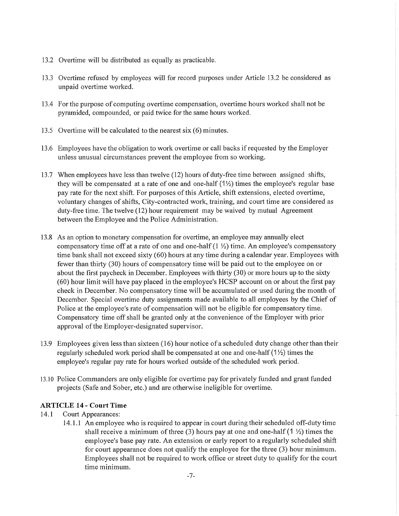- 13.2 Overtime will be distributed as equally as practicable.
- 13.3 Overtime refused by employees will for record purposes under Article 13.2 be considered as unpaid overtime worked.
- 13.4 For the purpose of computing overtime compensation, overtime hours worked shall not be pyramided, compounded, or paid twice for the same hours worked.
- 13.5 Overtime will be calculated to the nearest six (6) minutes.
- 13.6 Employees have the obligation to work overtime or call backs if requested by the Employer unless unusual circumstances prevent the employee from so working.
- 13.7 When employees have less than twelve (12) hours of duty-free time between assigned shifts, they will be compensated at a rate of one and one-half  $(1\frac{1}{2})$  times the employee's regular base pay rate for the next shift. For purposes of this Article, shift extensions, elected overtime, voluntary changes of shifts, City-contracted work, training, and court time are considered as duty-free time. The twelve (12) hour requirement may be waived by mutual Agreement between the Employee and the Police Administration.
- 13.8 As an option to monetary compensation for overtime, an employee may annually elect compensatory time off at a rate of one and one-half  $(1 \frac{1}{2})$  time. An employee's compensatory time bank shall not exceed sixty (60) hours at any time during a calendar year. Employees with fewer than thirty (30) hours of compensatory time will be paid out to the employee on or about the first paycheck in December. Employees with thirty (30) or more hours up to the sixty (60) hour limit will have pay placed in the employee's HCSP account on or about the first pay check in December. No compensatory time will be accumulated or used during the month of December. Special overtime duty assignments made available to all employees by the Chief of Police at the employee's rate of compensation will not be eligible for compensatory time. Compensatory time off shall be granted only at the convenience of the Employer with prior approval of the Employer-designated supervisor.
- 13.9 Employees given less than sixteen (16) hour notice of a scheduled duty change other than their regularly scheduled work period shall be compensated at one and one-half  $(1/2)$  times the employee's regular pay rate for hours worked outside of the scheduled work period.
- 13.10 Police Commanders are only eligible for overtime pay for privately funded and grant funded projects (Safe and Sober, etc.) and are otherwise ineligible for overtime.

# **ARTICLE 14 - Court Time**

- 14.1 Court Appearances:
	- 14.1.1 An employee who is required to appear in court during their scheduled off-duty time shall receive a minimum of three (3) hours pay at one and one-half (1  $\frac{1}{2}$ ) times the employee's base pay rate. An extension or early report to a regularly scheduled shift for couti appearance does not qualify the employee for the three (3) hour minimum. Employees shall not be required to work office or street duty to qualify for the comi time minimum.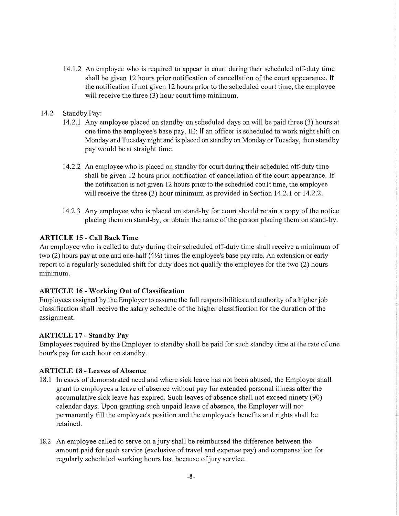14.1.2 An employee who is required to appear in court during their scheduled off-duty time shall be given 12 hours prior notification of cancellation of the court appearance. **If**  the notification if not given 12 hours prior to the scheduled court time, the employee will receive the three (3) hour court time minimum.

### 14.2 Standby Pay:

- 14.2.1 Any employee placed on standby on scheduled days on will be paid three (3) hours at one time the employee's base pay. IE: **If** an officer is scheduled to work night shift on Monday and Tuesday night and is placed on standby on Monday or Tuesday, then standby pay would be at straight time.
- 14.2.2 An employee who is placed on standby for court during their scheduled off-duty time shall be given 12 hours prior notification of cancellation of the court appearance. If the notification is not given 12 hours prior to the scheduled coult time, the employee will receive the three (3) hour minimum as provided in Section 14.2.1 or 14.2.2.
- 14.2.3 Any employee who is placed on stand-by for court should retain a copy of the notice placing them on stand-by, or obtain the name of the person placing them on stand-by.

#### **ARTICLE 15 - Call Back Time**

An employee who is called to duty during their scheduled off-duty time shall receive a minimum of two (2) hours pay at one and one-half  $(1/2)$  times the employee's base pay rate. An extension or early report to a regularly scheduled shift for duty does not qualify the employee for the two (2) hours minimum.

#### **ARTICLE 16 - Working Out of Classification**

Employees assigned by the Employer to assume the full responsibilities and authority of a higher job classification shall receive the salary schedule of the higher classification for the duration of the assignment.

#### **ARTICLE 17 - Standby Pay**

Employees required by the Employer to standby shall be paid for such standby time at the rate of one hour's pay for each hour on standby.

#### **ARTICLE 18 - Leaves of Absence**

- 18.1 In cases of demonstrated need and where sick leave has not been abused, the Employer shall grant to employees a leave of absence without pay for extended personal illness after the accumulative sick leave has expired. Such leaves of absence shall not exceed ninety (90) calendar days. Upon granting such unpaid leave of absence, the Employer will not permanently fill the employee's position and the employee's benefits and rights shall be retained.
- 18.2 An employee called to serve on a jury shall be reimbursed the difference between the amount paid for such service (exclusive of travel and expense pay) and compensation for regularly scheduled working hours lost because of jury service.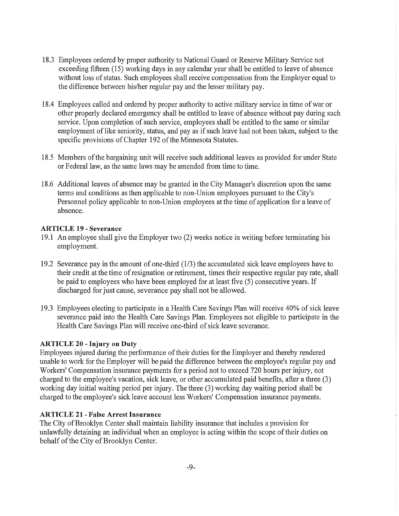- 18.3 Employees ordered by proper authority to National Guard or Reserve Military Service not exceeding fifteen (15) working days in any calendar year shall be entitled to leave of absence without loss of status. Such employees shall receive compensation from the Employer equal to the difference between his/her regular pay and the lesser military pay.
- 18.4 Employees called and ordered by proper authority to active military service in time of war or other properly declared emergency shall be entitled to leave of absence without pay during such service. Upon completion of such service, employees shall be entitled to the same or similar employment of like seniority, status, and pay as if such leave had not been taken, subject to the specific provisions of Chapter 192 of the Minnesota Statutes.
- 18.5 Members of the bargaining unit will receive such additional leaves as provided for under State or Federal law, as the same laws may be amended from time to time.
- 18.6 Additional leaves of absence may be granted in the City Manager's discretion upon the same terms and conditions as then applicable to non-Union employees pursuant to the City's Personnel policy applicable to non-Union employees at the time of application for a leave of absence.

#### **ARTICLE 19-Severance**

- 19.1 An employee shall give the Employer two (2) weeks notice in writing before terminating his employment.
- 19.2 Severance pay in the amount of one-third (1/3) the accumulated sick leave employees have to their credit at the time of resignation or retirement, times their respective regular pay rate, shall be paid to employees who have been employed for at least five (5) consecutive years. If discharged for just cause, severance pay shall not be allowed.
- 19.3 Employees electing to participate in a Health Care Savings Plan will receive 40% of sick leave severance paid into the Health Care Savings Plan. Employees not eligible to participate in the Health Care Savings Plan will receive one-third of sick leave severance.

#### **ARTICLE 20 - Injury on Duty**

Employees injured during the performance of their duties for the Employer and thereby rendered unable to work for the Employer will be paid the difference between the employee's regular pay and Workers' Compensation insurance payments for a period not to exceed 720 hours per injury, not charged to the employee's vacation, sick leave, or other accumulated paid benefits, after a three (3) working day initial waiting period per injury. The three (3) working day waiting period shall be charged to the employee's sick leave account less Workers' Compensation insurance payments.

#### **ARTICLE 21- False Arrest Insurance**

The City of Brooklyn Center shall maintain liability insurance that includes a provision for unlawfully detaining an individual when an employee is acting within the scope of their duties on behalf of the City of Brooklyn Center.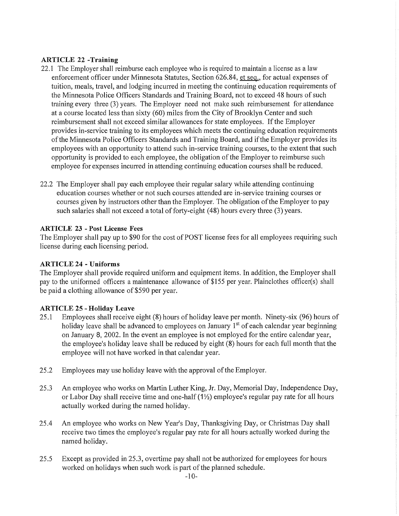## **ARTICLE 22 -Training**

- 22.1 The Employer shall reimburse each employee who is required to maintain a license as a law enforcement officer under Minnesota Statutes, Section 626.84, et seq., for actual expenses of tuition, meals, travel, and lodging incurred in meeting the continuing education requirements of the Minnesota Police Officers Standards and Training Board, not to exceed 48 hours of such training every three (3) years. The Employer need not make such reimbursement for attendance at a course located less than sixty (60) miles from the City of Brooklyn Center and such reimbursement shall not exceed similar allowances for state employees. If the Employer provides in-service training to its employees which meets the continuing education requirements of the Minnesota Police Officers Standards and Training Board, and if the Employer provides its employees with an opportunity to attend such in-service training courses, to the extent that such opportunity is provided to each employee, the obligation of the Employer to reimburse such employee for expenses incurred in attending continuing education courses shall be reduced.
- 22.2 The Employer shall pay each employee their regular salary while attending continuing education courses whether or not such courses attended are in-service training courses or courses given by instructors other than the Employer. The obligation of the Employer to pay such salaries shall not exceed a total of forty-eight (48) hours every three (3) years.

### **ARTICLE 23 - Post License Fees**

The Employer shall pay up to \$90 for the cost of POST license fees for all employees requiring such license during each licensing period.

#### **ARTICLE 24 - Uniforms**

The Employer shall provide required uniform and equipment items. In addition, the Employer shall pay to the uniformed officers a maintenance allowance of \$155 per year. Plainclothes officer(s) shall be paid a clothing allowance of \$590 per year.

#### **ARTICLE 25 - Holiday Leave**

- 25 .1 Employees shall receive eight (8) hours of holiday leave per month. Ninety-six (96) hours of holiday leave shall be advanced to employees on January  $1<sup>st</sup>$  of each calendar year beginning on January 8, 2002. In the event an employee is not employed for the entire calendar year, the employee's holiday leave shall be reduced by eight (8) hours for each full month that the employee will not have worked in that calendar year.
- 25.2 Employees may use holiday leave with the approval of the Employer.
- 25.3 An employee who works on Martin Luther King, Jr. Day, Memorial Day, Independence Day, or Labor Day shall receive time and one-half  $(1\frac{1}{2})$  employee's regular pay rate for all hours actually worked during the named holiday.
- 25.4 An employee who works on New Year's Day, Thanksgiving Day, or Christmas Day shall receive two times the employee's regular pay rate for all hours actually worked during the named holiday.
- 25.5 Except as provided in 25.3, overtime pay shall not be authorized for employees for hours worked on holidays when such work is part of the planned schedule.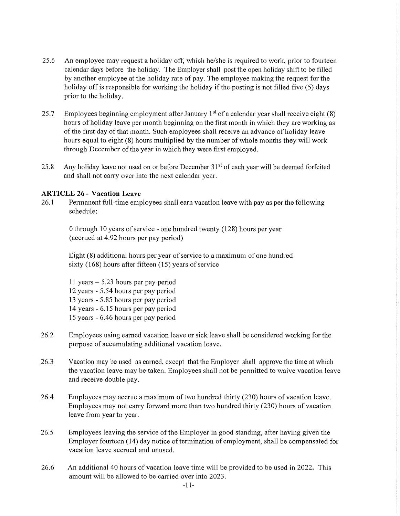- 25.6 An employee may request a holiday off, which he/she is required to work, prior to fourteen calendar days before the holiday. The Employer shall post the open holiday shift to be filled by another employee at the holiday rate of pay. The employee making the request for the holiday off is responsible for working the holiday if the posting is not filled five (5) days prior to the holiday.
- 25.7 Employees beginning employment after January  $1<sup>st</sup>$  of a calendar year shall receive eight (8) hours of holiday leave per month beginning on the first month in which they are working as of the first day of that month. Such employees shall receive an advance of holiday leave hours equal to eight (8) hours multiplied by the number of whole months they will work through December of the year in which they were first employed.
- 25.8 Any holiday leave not used on or before December  $31<sup>st</sup>$  of each year will be deemed forfeited and shall not carry over into the next calendar year.

#### **ARTICLE 26- Vacation Leave**

26.1 Permanent full-time employees shall earn vacation leave with pay as per the following schedule:

0 through 10 years of service - one hundred twenty (128) hours per year (accrued at 4.92 hours per pay period)

Eight (8) additional hours per year of service to a maximum of one hundred sixty (168) hours after fifteen (15) years of service

11 years  $-5.23$  hours per pay period 12 years - 5.54 hours per pay period 13 years - 5.85 hours per pay period 14 years - 6.15 hours per pay period 15 years - 6.46 hours per pay period

- 26.2 Employees using earned vacation leave or sick leave shall be considered working for the purpose of accumulating additional vacation leave.
- 26.3 Vacation may be used as earned, except that the Employer shall approve the time at which the vacation leave may be taken. Employees shall not be permitted to waive vacation leave and receive double pay.
- 26.4 Employees may accrue a maximum of two hundred thirty (230) hours of vacation leave. Employees may not carry forward more than two hundred thirty (230) hours of vacation leave from year to year.
- 26.5 Employees leaving the service of the Employer in good standing, after having given the Employer fourteen (14) day notice of termination of employment, shall be compensated for vacation leave accrued and unused.
- 26.6 An additional 40 hours of vacation leave time will be provided to be used in 2022. This amount will be allowed to be carried over into 2023.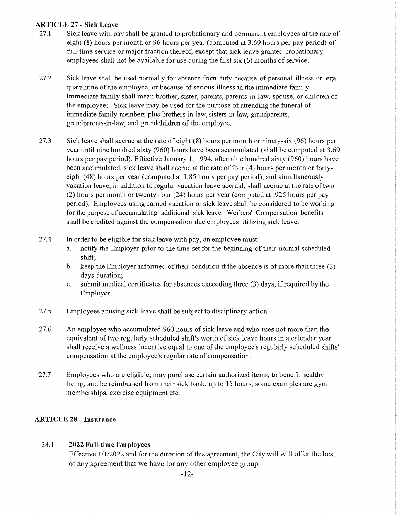# **ARTICLE** 27 - **Sick Leave**

- 27.1 Sick leave with pay shall be granted to probationary and permanent employees at the rate of eight (8) hours per month or 96 hours per year (computed at 3.69 hours per pay period) of full-time service or major fraction thereof, except that sick leave granted probationary employees shall not be available for use during the first  $\sin(6)$  months of service.
- 27.2 Sick leave shall be used normally for absence from duty because of personal illness or legal quarantine of the employee, or because of serious illness in the immediate family. Immediate family shall mean brother, sister, parents, parents-in-law, spouse, or children of the employee; Sick leave may be used for the purpose of attending the funeral of immediate family members plus brothers-in-law, sisters-in-law, grandparents, grandparents-in-law, and grandchildren of the employee.
- 27.3 Sick leave shall accrue at the rate of eight (8) hours per month or ninety-six (96) hours per year until nine hundred sixty (960) hours have been accumulated (shall be computed at 3.69 hours per pay period). Effective January **1,** 1994, after nine hundred sixty (960) hours have been accumulated, sick leave shall accrue at the rate of four (4) hours per month or fortyeight (48) hours per year (computed at 1.85 hours per pay period), and simultaneously vacation leave, in addition to regular vacation leave accrual, shall accrue at the rate of two (2) hours per month or twenty-four (24) hours per year (computed at .925 hours per pay period). Employees using earned vacation or sick leave shall be considered to be working for the purpose of accumulating additional sick leave. Workers' Compensation benefits shall be credited against the compensation due employees utilizing sick leave.
- 27.4 In order to be eligible for sick leave with pay, an employee must:
	- a. notify the Employer prior to the time set for the beginning of their normal scheduled shift;
	- b. keep the Employer informed of their condition if the absence is of more than three (3) days duration;
	- c. submit medical certificates for absences exceeding three (3) days, if required by the Employer.
- 27.5 Employees abusing sick leave shall be subject to disciplinary action.
- 27.6 An employee who accumulated 960 hours of sick leave and who uses not more than the equivalent of two regularly scheduled shift's worth of sick leave hours in a calendar year shall receive a wellness incentive equal to one of the employee's regularly scheduled shifts' compensation at the employee's regular rate of compensation.
- 27.7 Employees who are eligible, may purchase certain authorized items, to benefit healthy living, and be reimbursed from their sick bank, up to 15 hours, some examples are gym memberships, exercise equipment etc.

# **ARTICLE 28 - Insurance**

# 28.1 **2022 Full-time Employees**

Effective 1/1/2022 and for the duration of this agreement, the City will will offer the best of any agreement that we have for any other employee group.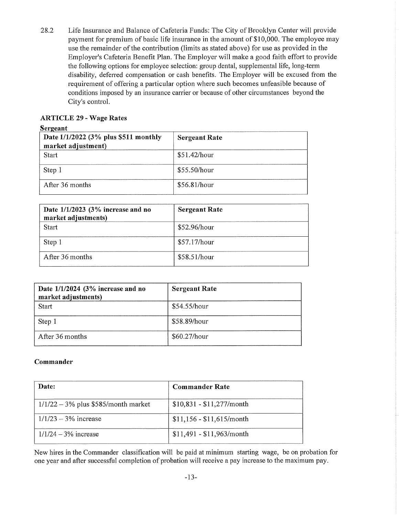28.2 Life Insurance and Balance of Cafeteria Funds: The City of Brooklyn Center will provide payment for premium of basic life insurance in the amount of \$10,000. The employee may use the remainder of the contribution (limits as stated above) for use as provided in the Employer's Cafeteria Benefit Plan. The Employer will make a good faith effort to provide the following options for employee selection: group dental, supplemental life, long-term disability, deferred compensation or cash benefits. The Employer will be excused from the requirement of offering a particular option where such becomes unfeasible because of conditions imposed by an insurance carrier or because of other circumstances beyond the City's control.

# **ARTICLE 29 - Wage Rates**

| Date 1/1/2022 (3% plus \$511 monthly<br>market adjustment) | <b>Sergeant Rate</b> |  |
|------------------------------------------------------------|----------------------|--|
| <b>Start</b>                                               | \$51.42/hour         |  |
| Step 1                                                     | \$55.50/hour         |  |
| After 36 months                                            | \$56.81/hour         |  |

| Date $1/1/2023$ (3% increase and no<br>market adjustments) | <b>Sergeant Rate</b> |
|------------------------------------------------------------|----------------------|
| <b>Start</b>                                               | \$52.96/hour         |
| Step 1                                                     | \$57.17/hour         |
| After 36 months                                            | \$58.51/hour         |

| Date $1/1/2024$ (3% increase and no<br>market adjustments) | <b>Sergeant Rate</b> |
|------------------------------------------------------------|----------------------|
| <b>Start</b>                                               | \$54.55/hour         |
| Step 1                                                     | \$58.89/hour         |
| After 36 months                                            | \$60.27/hour         |

# **Commander**

| Date:                                  | <b>Commander Rate</b>      |
|----------------------------------------|----------------------------|
| $1/1/22 - 3\%$ plus \$585/month market | $$10,831 - $11,277/m$ onth |
| $1/1/23 - 3\%$ increase                | $$11,156 - $11,615/m$ onth |
| $1/1/24 - 3\%$ increase                | $$11,491 - $11,963/m$ onth |

New hires in the Commander classification will be paid at minimum starting wage, be on probation for one year and after successful completion of probation will receive a pay increase to the maximum pay.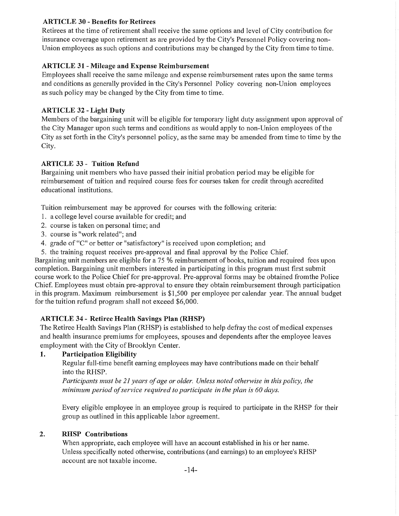# **ARTICLE 30 - Benefits for Retirees**

Retirees at the time of retirement shall receive the same options and level of City contribution for insurance coverage upon retirement as are provided by the City's Personnel Policy covering non-Union employees as such options and contributions may be changed by the City from time to time.

# **ARTICLE 31 - Mileage and Expense Reimbursement**

Employees shall receive the same mileage and expense reimbursement rates upon the same terms and conditions as generally provided in the City's Personnel Policy covering non-Union employees as such policy may be changed by the City from time to time.

# **ARTICLE 32 - Light Duty**

Members of the bargaining unit will be eligible for temporary light duty assignment upon approval of the City Manager upon such terms and conditions as would apply to non-Union employees of the City as set forth in the City's personnel policy, as the same may be amended from time to time by the City.

# **ARTICLE 33 - Tuition Refund**

Bargaining unit members who have passed their initial probation period may be eligible for reimbursement of tuition and required course fees for courses taken for credit through accredited educational institutions.

Tuition reimbursement may be approved for courses with the following criteria:

- 1. a college level course available for credit; and
- 2. course is taken on personal time; and
- 3. course is "work related"; and
- 4. grade of "C" or better or "satisfactory" is received upon completion; and
- 5. the training request receives pre-approval and final approval by the Police Chief.

Bargaining unit members are eligible for a 75 % reimbursement of books, tuition and required fees upon completion. Bargaining unit members interested in participating in this program must first submit course work to the Police Chief for pre-approval. Pre-approval forms may be obtained from the Police Chief. Employees must obtain pre-approval to ensure they obtain reimbursement through participation in this program. Maximum reimbursement is \$1,500 per employee per calendar year. The annual budget for the tuition refund program shall not exceed \$6,000.

# **ARTICLE 34- Retiree Health Savings Plan (RHSP)**

The Retiree Health Savings Plan (RHSP) is established to help defray the cost of medical expenses and health insurance premiums for employees, spouses and dependents after the employee leaves employment with the City of Brooklyn Center.

# **1. Participation Eligibility**

Regular full-time benefit earning employees may have contributions made on their behalf into the RHSP.

*Participants must be 21 years of age or older. Unless noted otherwise in this policy, the minimum period of service required to participate in the plan is 60 days.* 

Every eligible employee in an employee group is required to participate in the RHSP for their group as outlined in this applicable labor agreement.

# **2. RHSP Contributions**

When appropriate, each employee will have an account established in his or her name. Unless specifically noted otherwise, contributions (and earnings) to an employee's RHSP account are not taxable income.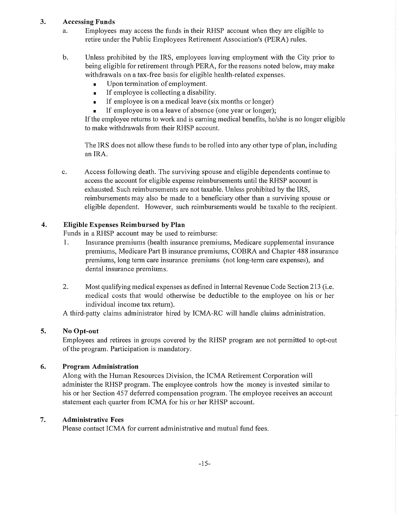# **3. Accessing Funds**

- a. Employees may access the funds in their RHSP account when they are eligible to retire under the Public Employees Retirement Association's (PERA) rules.
- b. Unless prohibited by the IRS, employees leaving employment with the City prior to being eligible for retirement through PERA, for the reasons noted below, may make withdrawals on a tax-free basis for eligible health-related expenses.
	- **•** Upon termination of employment.
	- $\blacksquare$  If employee is collecting a disability.
	- **•** If employee is on a medical leave (six months or longer)
	- If employee is on a leave of absence (one year or longer);

If the employee returns to work and is earning medical benefits, he/she is no longer eligible to make withdrawals from their RHSP account.

The **IRS** does not allow these funds to be rolled into any other type of plan, including an IRA.

c. Access following death. The surviving spouse and eligible dependents continue to access the account for eligible expense reimbursements until the RHSP account is exhausted. Such reimbursements are not taxable. Unless prohibited by the IRS, reimbursements may also be made to a beneficiary other than a surviving spouse or eligible dependent. However, such reimbursements would be taxable to the recipient.

# **4. Eligible Expenses Reimbursed by Plan**

Funds in a RHSP account may be used to reimburse:

- 1. Insurance premiums (health insurance premiums, Medicare supplemental insurance premiums, Medicare Part B insurance premiums, COBRA and Chapter 488 insurance premiums, long term care insurance premiums (not long-term care expenses), and dental insurance premiums.
- 2. Most qualifying medical expenses as defined in Internal Revenue Code Section 213 (i.e. medical costs that would otherwise be deductible to the employee on his or her individual income tax return).

A third-patty claims administrator hired by ICMA-RC will handle claims administration.

# **5. No Opt-out**

Employees and retirees in groups covered by the RHSP program are not permitted to opt-out of the program. Participation is mandatory.

# **6. Program Administration**

Along with the Human Resources Division, the ICMA Retirement Corporation will administer the RHSP program. The employee controls how the money is invested similar to his or her Section 457 deferred compensation program. The employee receives an account statement each quarter from ICMA for his or her RHSP account.

#### 7. **Administrative Fees**

Please contact ICMA for current administrative and mutual fund fees.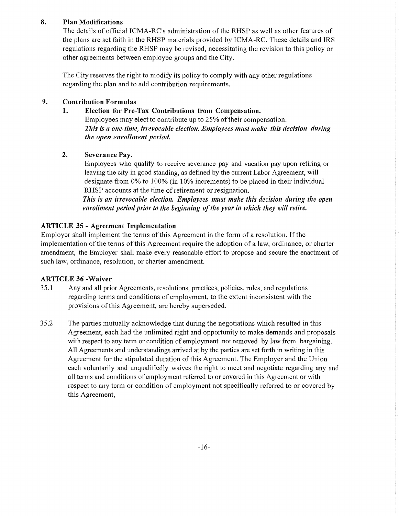# **8. Plan Modifications**

The details of official ICMA-RC's administration of the RHSP as well as other features of the plans are set faith in the RHSP materials provided by ICMA-RC. These details and IRS regulations regarding the RHSP may be revised, necessitating the revision to this policy or other agreements between employee groups and the City.

The City reserves the right to modify its policy to comply with any other regulations regarding the plan and to add contribution requirements.

# **9. Contribution Formulas**

#### **1. Election for Pre-Tax Contributions from Compensation.**

Employees may elect to contribute up to 25% of their compensation. *This is a one-time, irrevocable election. Employees must make this decision during the open enrollment period.* 

### **2. Severance Pay.**

Employees who qualify to receive severance pay and vacation pay upon retiring or leaving the city in good standing, as defined by the current Labor Agreement, will designate from 0% to 100% (in 10% increments) to be placed in their individual RHSP accounts at the time of retirement or resignation.

*This is an irrevocable election. Employees must make this decision during the open enrollment period prior to the beginning of the year in which they will retire.* 

### **ARTICLE 35** - **Agreement Implementation**

Employer shall implement the terms of this Agreement in the form of a resolution. If the implementation of the terms of this Agreement require the adoption of a law, ordinance, or charter amendment, the Employer shall make every reasonable effort to propose and secure the enactment of such law, ordinance, resolution, or charter amendment.

#### **ARTICLE 36-Waiver**

- 35.1 Any and all prior Agreements, resolutions, practices, policies, rules, and regulations regarding terms and conditions of employment, to the extent inconsistent with the provisions of this Agreement, are hereby superseded.
- 35.2 The parties mutually acknowledge that during the negotiations which resulted in this Agreement, each had the unlimited right and opportunity to make demands and proposals with respect to any term or condition of employment not removed by law from bargaining. All Agreements and understandings arrived at by the parties are set forth in writing in this Agreement for the stipulated duration of this Agreement. The Employer and the Union each voluntarily and unqualifiedly waives the right to meet and negotiate regarding any and all tenns and conditions of employment referred to or covered in this Agreement or with respect to any term or condition of employment not specifically referred to or covered by this Agreement,